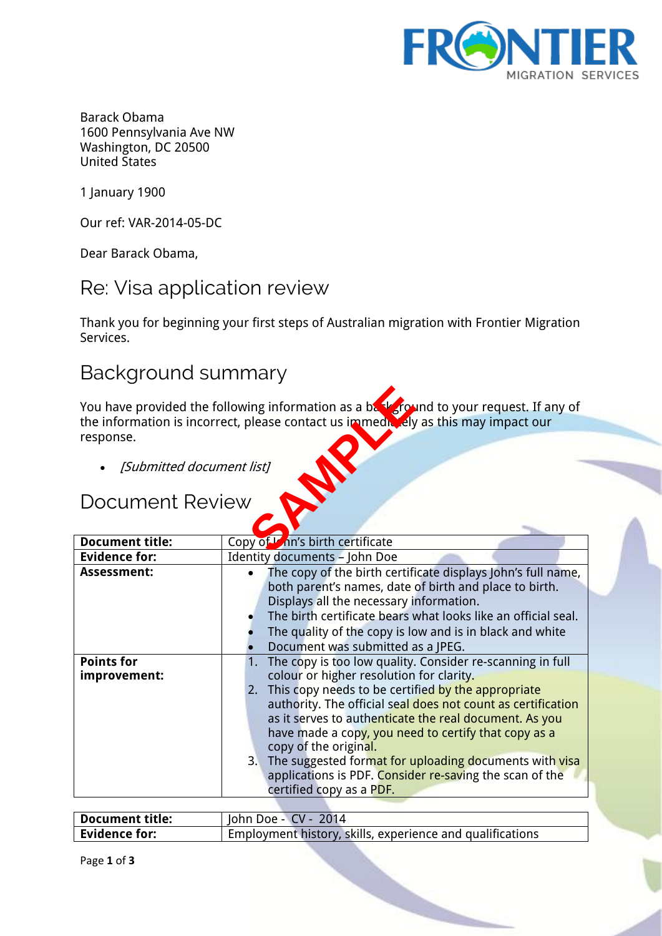

Barack Obama 1600 Pennsylvania Ave NW Washington, DC 20500 United States

1 January 1900

Our ref: VAR-2014-05-DC

Dear Barack Obama,

#### Re: Visa application review

Thank you for beginning your first steps of Australian migration with Frontier Migration Services.

#### Background summary

You have provided the following information as a background to your request. If any of the information is incorrect, please contact us immediately as this may impact our response. Transformation as a base of the Street

• [Submitted document list]

## Document Review

| <b>Document title:</b>            | Copy of Lon's birth certificate                                                                                                                                                                                                                                                                                                                                                                                                                                                                                               |
|-----------------------------------|-------------------------------------------------------------------------------------------------------------------------------------------------------------------------------------------------------------------------------------------------------------------------------------------------------------------------------------------------------------------------------------------------------------------------------------------------------------------------------------------------------------------------------|
| <b>Evidence for:</b>              | <b>Identity documents - John Doe</b>                                                                                                                                                                                                                                                                                                                                                                                                                                                                                          |
| <b>Assessment:</b>                | The copy of the birth certificate displays John's full name,<br>$\bullet$<br>both parent's names, date of birth and place to birth.<br>Displays all the necessary information.<br>The birth certificate bears what looks like an official seal.<br>The quality of the copy is low and is in black and white<br>Document was submitted as a JPEG.                                                                                                                                                                              |
| <b>Points for</b><br>improvement: | The copy is too low quality. Consider re-scanning in full<br>colour or higher resolution for clarity.<br>2. This copy needs to be certified by the appropriate<br>authority. The official seal does not count as certification<br>as it serves to authenticate the real document. As you<br>have made a copy, you need to certify that copy as a<br>copy of the original.<br>3. The suggested format for uploading documents with visa<br>applications is PDF. Consider re-saving the scan of the<br>certified copy as a PDF. |

| <b>Document title:</b> | John Doe - CV - 2014                                      |
|------------------------|-----------------------------------------------------------|
| <b>Evidence for:</b>   | Employment history, skills, experience and qualifications |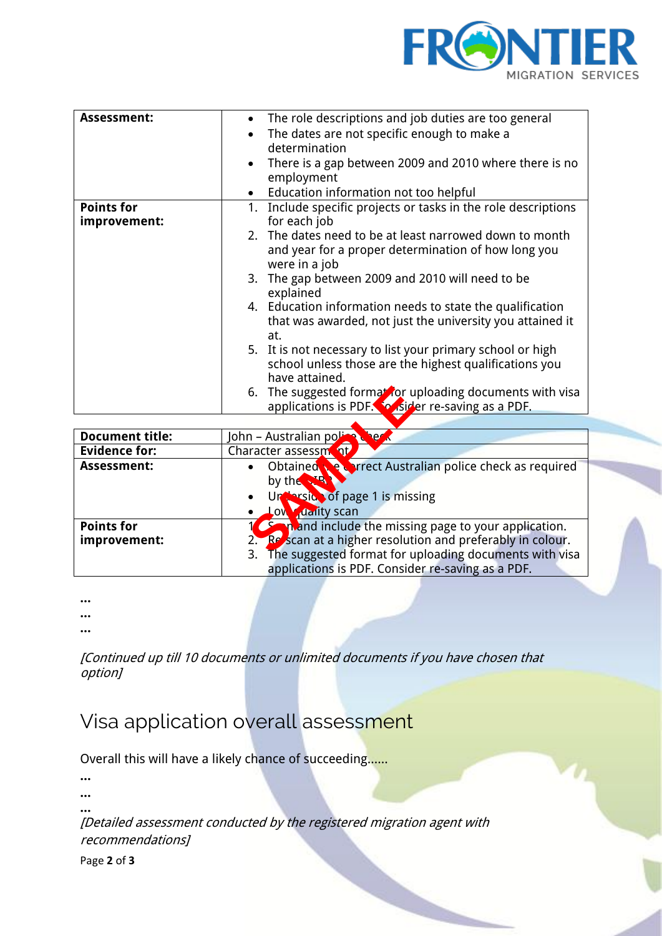

| $\bullet$ | The role descriptions and job duties are too general        |
|-----------|-------------------------------------------------------------|
|           | The dates are not specific enough to make a                 |
|           | determination                                               |
|           |                                                             |
|           | There is a gap between 2009 and 2010 where there is no      |
|           | employment                                                  |
| $\bullet$ | Education information not too helpful                       |
| 1.        | Include specific projects or tasks in the role descriptions |
|           | for each job                                                |
|           | 2. The dates need to be at least narrowed down to month     |
|           | and year for a proper determination of how long you         |
|           | were in a job                                               |
|           |                                                             |
|           | 3. The gap between 2009 and 2010 will need to be            |
|           | explained                                                   |
|           | 4. Education information needs to state the qualification   |
|           | that was awarded, not just the university you attained it   |
|           | at.                                                         |
|           | 5. It is not necessary to list your primary school or high  |
|           |                                                             |
|           | school unless those are the highest qualifications you      |
|           | have attained.                                              |
|           | 6. The suggested formal for uploading documents with visa   |
|           | applications is PDF. So is der re-saving as a PDF.          |
|           | $\bullet$                                                   |

|                                   | 6. The suggested formal for uploading documents with visa<br>applications is PDF. The sider re-saving as a PDF.                                                                                                                                  |
|-----------------------------------|--------------------------------------------------------------------------------------------------------------------------------------------------------------------------------------------------------------------------------------------------|
|                                   |                                                                                                                                                                                                                                                  |
| <b>Document title:</b>            | John - Australian pol<br><b>ver</b>                                                                                                                                                                                                              |
| <b>Evidence for:</b>              | Character assessment                                                                                                                                                                                                                             |
| <b>Assessment:</b>                | Obtained the Correct Australian police check as required<br>$\bullet$<br>by the<br>Underside of page 1 is missing<br>$\bullet$<br>daity scan<br><b>OW</b>                                                                                        |
| <b>Points for</b><br>improvement: | <b>Comband include the missing page to your application.</b><br>2. Resscan at a higher resolution and preferably in colour.<br>The suggested format for uploading documents with visa<br>3.<br>applications is PDF. Consider re-saving as a PDF. |

**…**

**…**

**…**

[Continued up till 10 documents or unlimited documents if you have chosen that option]

## Visa application overall assessment

Overall this will have a likely chance of succeeding……

**… …**

**…**

[Detailed assessment conducted by the registered migration agent with recommendations]

Page **2** of **3**